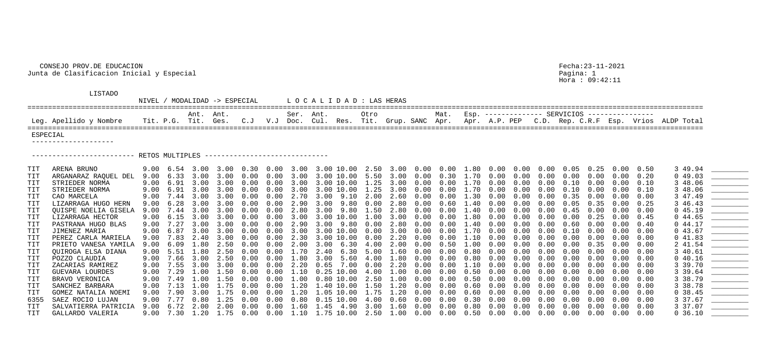## CONSEJO PROV.DE EDUCACION Fecha:23-11-2021 Junta de Clasificacion Inicial y Especial Pagina: 1

Hora : 09:42:11

|  |  | Mat. Esp. ------------- SERVICIOS --------------- |  |                                                                     |  |  |  |  |  |  |  |  |  |
|--|--|---------------------------------------------------|--|---------------------------------------------------------------------|--|--|--|--|--|--|--|--|--|
|  |  |                                                   |  | Grup. SANC Apr. Apr. A.P. PEP C.D. Rep. C.R.F Esp. Vrios ALDP Total |  |  |  |  |  |  |  |  |  |
|  |  |                                                   |  |                                                                     |  |  |  |  |  |  |  |  |  |

## LISTADO

NIVEL / MODALIDAD -> ESPECIAL L O C A L I D A D : LAS HERAS ==================================================================================================================================================================== Ant. Ant. Ser. Ant. Otro Mat. Esp. -------------- SERVICIOS ---------------- Leg. Apellido y Nombre Tit. P.G. Tit. Ges. C.J V.J Doc. Cul. Res. Tit. ==================================================================================================================================================================== ESPECIAL --------------------

------------------------- RETOS MULTIPLES ------------------------------

| TIT  | ARENA BRUNO                 |      |      |      |      |            |                   |             | 9.00 6.54 3.00 3.00 0.30 0.00 3.00 3.00 10.00 2.50 3.00 0.00 0.00 1.80 0.00 0.00 |                   |      |                |            |                   |      |            |      | $0.00$ $0.05$ $0.25$ |            |        | $0.00 \quad 0.50$ |      | 3 49.94  |                                                                                                                                                                                                                                                                                                                                                                                                                                                                                                                                                         |
|------|-----------------------------|------|------|------|------|------------|-------------------|-------------|----------------------------------------------------------------------------------|-------------------|------|----------------|------------|-------------------|------|------------|------|----------------------|------------|--------|-------------------|------|----------|---------------------------------------------------------------------------------------------------------------------------------------------------------------------------------------------------------------------------------------------------------------------------------------------------------------------------------------------------------------------------------------------------------------------------------------------------------------------------------------------------------------------------------------------------------|
| TIT  | ARGANARAZ RAQUEL DEL        | 9.00 | 6.33 | 3.00 | 3.00 | $0\,.\,00$ | $0.00$ 3.00       |             | 3.00 10.00 5.50                                                                  |                   |      | 3.00           | $0\,.\,00$ | 0.30              | 1.70 | 0.00       | 0.00 | 0.00                 | 0.00       | 0.00   | 0.00              | 0.20 | 0.49.03  | $\begin{array}{l} \begin{array}{c} \begin{array}{c} \begin{array}{c} \end{array} \\ \begin{array}{c} \end{array} \end{array} \end{array} \end{array} \end{array} \end{array} \begin{array}{c} \begin{array}{c} \begin{array}{c} \end{array} \\ \begin{array}{c} \end{array} \end{array} \end{array} \begin{array}{c} \begin{array}{c} \end{array} \end{array} \end{array} \begin{array}{c} \begin{array}{c} \end{array} \end{array} \end{array} \begin{array}{c} \begin{array}{c} \end{array} \end{array} \end{array} \begin{array}{c} \begin{array}{c$ |
| TIT  | STRIEDER NORMA              | 9.00 | 6.91 | 3.00 | 3.00 | 0.00       | $0\,.\,00$        | 3.00        | 3.00 10.00 1.25                                                                  |                   |      | 3.00           | 0.00       | 0.00              | .70  | 0.00       | 0.00 | 0.00                 | 0.10       | 0.00   |                   | 0.10 | 3 48.06  |                                                                                                                                                                                                                                                                                                                                                                                                                                                                                                                                                         |
| TIT  | STRIEDER NORMA              | 9.00 | 6.91 | 3.00 | 3.00 | 0.00       | $0.00$ 3.00       |             | 3.00 10.00 1.25                                                                  |                   |      | 3.00           | 0.00       | $0.00 \quad 1.70$ |      | 0.00       | 0.00 | 0.00                 | 0.10       | 0.00   | 0.00              | 0.10 | 3 48.06  |                                                                                                                                                                                                                                                                                                                                                                                                                                                                                                                                                         |
| TIT  | CAO MARCELA                 | 9.00 | 7.44 | 3.00 | 3.00 | $0\,.\,00$ |                   |             | $0.00$ 2.70 3.00 9.10 2.00                                                       |                   |      | 2.60           | $0\,.\,00$ | $0\,.\,00$        | 1.30 | 0.00       | 0.00 | 0.00                 | 0.35       | 0.00   | 0.00              | 0.00 | 3 47.49  |                                                                                                                                                                                                                                                                                                                                                                                                                                                                                                                                                         |
| TIT  | LIZARRAGA HUGO HERN         | 9.00 | 6.28 | 3.00 | 3.00 | 0.00       |                   |             | $0.00$ 2.90 3.00 9.80 0.00                                                       |                   |      | 2.80           | $0\,.\,00$ | 0.60              | 1.40 | $0\,.\,00$ | 0.00 | 0.00                 | 0.05       | 0.35   | 0.00              | 0.25 | 3 46.43  |                                                                                                                                                                                                                                                                                                                                                                                                                                                                                                                                                         |
| TIT  | <b>OUISPE NOELIA GISELA</b> | 9.00 | 7.44 | 3.00 | 3.00 | 0.00       | $0\,.\,00$        | 2.80        | 3.00 9.80 1.50                                                                   |                   |      | 2.80           | $0\,.\,00$ | 0.00              | 1.40 | 0.00       | 0.00 | 0.00                 | 0.45       | 0.00   | 0.00              | 0.00 | 045.19   |                                                                                                                                                                                                                                                                                                                                                                                                                                                                                                                                                         |
| TIT  | LIZARRAGA HECTOR            | 9.00 | 6.15 | 3.00 | 3.00 | $0\,.\,00$ |                   |             | $0.00$ $3.00$ $3.00$ $10.00$ $1.00$                                              |                   |      | 3.00           | $0\,.\,00$ | $0.00 \quad 1.80$ |      | 0.00       | 0.00 | 0.00                 | 0.00       | 0.25   | 0.00              | 0.45 | 0.44.65  |                                                                                                                                                                                                                                                                                                                                                                                                                                                                                                                                                         |
| TIT  | PASTRANA HUGO BLAS          | 9.00 | 7.27 | 3.00 | 3.00 | 0.00       |                   |             | $0.00$ 2.90 3.00 9.80 0.00                                                       |                   |      | 2.80           | 0.00       | $0.00$ 1.40       |      | $0\,.\,00$ | 0.00 | 0.00                 | 0.60       | 0.00   | 0.00              | 0.40 | 0.44.17  |                                                                                                                                                                                                                                                                                                                                                                                                                                                                                                                                                         |
| TIT  | JIMENEZ MARIA               | 9.00 | 6.87 | 3.00 | 3.00 | 0.00       | $0\,.\,00$        | 3.00        | 3.00 10.00 0.00                                                                  |                   |      | 3.00           | 0.00       | 0.00              | 1.70 | 0.00       | 0.00 | 0.00                 | 0.10       | 0.00   |                   | 0.00 | 043.67   |                                                                                                                                                                                                                                                                                                                                                                                                                                                                                                                                                         |
| TIT  | PEREZ CARLA MARIELA         | 9.00 | 7.83 | 2.40 | 3.00 | $0\,.\,00$ |                   |             | $0.00$ 2.30 3.00 10.00 0.00                                                      |                   |      | 2.20           | 0.00       | 0.00 1.10         |      | 0.00       | 0.00 | 0.00                 | 0.00       | 0.00   | 0.00              | 0.00 | 041.83   |                                                                                                                                                                                                                                                                                                                                                                                                                                                                                                                                                         |
| TIT  | PRIETO VANESA YAMILA        | 9.00 | 6.09 | 1.80 | 2.50 | $0\,.\,00$ |                   |             | $0.00$ $2.00$ $3.00$ $6.30$ $4.00$                                               |                   |      | 2.00           | 0.00       | $0.50$ 1.00       |      | $0\,.\,00$ | 0.00 | 0.00                 | $0\,.\,00$ | 0.35   | 0.00              | 0.00 | 2 41.54  |                                                                                                                                                                                                                                                                                                                                                                                                                                                                                                                                                         |
| TIT  | OUIROGA ELSA DIANA          | 9.00 | 5.51 | 1.80 | 2.50 | 0.00       | $0\,.\,00$        | 1.70        | 2.40 6.30 5.00                                                                   |                   |      | 1.60           | 0.00       | 0.00              | 0.80 | 0.00       | 0.00 | 0.00                 | 0.00       | 0.00   |                   | 0.00 | 3 40.61  |                                                                                                                                                                                                                                                                                                                                                                                                                                                                                                                                                         |
| TIT  | POZZO CLAUDIA               | 9.00 | 7.66 | 3.00 | 2.50 | $0\,.\,00$ |                   |             | $0.00 \quad 1.80 \quad 3.00 \quad 5.60 \quad 4.00$                               |                   |      | 1.80           | $0\,.\,00$ | 0.00              | 0.80 | 0.00       | 0.00 | 0.00                 | 0.00       | 0.00   | 0.00              | 0.00 | 040.16   |                                                                                                                                                                                                                                                                                                                                                                                                                                                                                                                                                         |
| TIT  | ZACARIAS RAMIREZ            | 9.00 | 7.55 | 3.00 | 3.00 | $0\,.\,00$ |                   |             | $0.00$ 2.20 0.65 7.00 0.00                                                       |                   |      | $2\,\ldotp 20$ | 0.00       | 0.00              | 1.10 | 0.00       | 0.00 | 0.00                 | 0.00       | 0.00   | 0.00              | 0.00 | 3 39.70  | $\begin{tabular}{ccccccccc} \multicolumn{2}{c }{\textbf{1} & \multicolumn{2}{c }{\textbf{2} & \multicolumn{2}{c }{\textbf{3} & \multicolumn{2}{c }{\textbf{4} & \multicolumn{2}{c }{\textbf{5} & \multicolumn{2}{c }{\textbf{6} & \multicolumn{2}{c }{\textbf{6} & \multicolumn{2}{c }{\textbf{6} & \multicolumn{2}{c }{\textbf{6} & \multicolumn{2}{c }{\textbf{6} & \multicolumn{2}{c }{\textbf{6} & \multicolumn{2}{c }{\textbf{6} & \multicolumn{2$                                                                                                 |
| TIT  | GUEVARA LOURDES             | 9.00 | 7.29 | 1.00 | 1.50 | 0.00       | 0.00              | 1.10        | $0.25$ $10.00$ $4.00$                                                            |                   |      | $.00 \,$       | 0.00       | 0.00              | 0.50 | 0.00       | 0.00 | 0.00                 | 0.00       | 0.00   | 0.00              | 0.00 | 3 39.64  |                                                                                                                                                                                                                                                                                                                                                                                                                                                                                                                                                         |
| TIT  | BRAVO VERONICA              | 9.00 | 7.49 | 1.00 | 1.50 | 0.00       | $0.00 \quad 1.00$ |             |                                                                                  | $0.80$ 10.00 2.50 |      | 1.00           | 0.00       | 0.00              | 0.50 | $0\,.\,00$ | 0.00 | 0.00                 | 0.00       | 0.00   | 0.00              | 0.00 | 3 38.79  |                                                                                                                                                                                                                                                                                                                                                                                                                                                                                                                                                         |
| TIT  | SANCHEZ BARBARA             | 9.00 | 7.13 | 1.00 | 1.75 | 0.00       | $0.00 \quad 1.20$ |             | 1.40 10.00 1.50                                                                  |                   |      | $1\ldotp20$    | 0.00       | 0.00              | 0.60 | 0.00       | 0.00 | 0.00                 | 0.00       | 0.00   | 0.00              | 0.00 | 3 38.78  |                                                                                                                                                                                                                                                                                                                                                                                                                                                                                                                                                         |
| TIT  | GOMEZ NATALIA NOEMI         | 9.00 | 7.90 | 3.00 | 1.75 | 0.00       | 0.00              | $\ldots 20$ | 1.05 10.00 1.75                                                                  |                   |      | .20            | 0.00       | 0.00              | 0.60 | 0.00       | 0.00 | 0.00                 | 0.00       | 0.00   | 0.00              | 0.00 | 0, 38.45 |                                                                                                                                                                                                                                                                                                                                                                                                                                                                                                                                                         |
| 6355 | SAEZ ROCIO LUJAN            | 9.00 | 7.77 | 0.80 | 1.25 | 0.00       | $0\,.\,00$        | 0.80        | $0.15$ $10.00$                                                                   |                   | 4.00 | 0.60           | 0.00       | 0.00              | 0.30 | 0.00       | 0.00 | 0.00                 | 0.00       | (1.00) | 0.00              | 0.00 | 3 37.67  |                                                                                                                                                                                                                                                                                                                                                                                                                                                                                                                                                         |
| TIT  | SALVATIERRA PATRICIA        | 9.00 | 6.72 | 2.00 | 2.00 | 0.00       | 0.00              | .60         |                                                                                  | 45 4.90           | 3.00 | 1.60           | 0.00       | 0.00              | 0.80 | 0.00       | 0.00 | 0.00                 | 0.00       | 0.00   | 0.00              | 0.00 | 3 37.07  | <u> 2000 - John Stone, Amerikan bisa pada 1990 - John Stone Barnett and Stone Barnett and Stone Barnett and Stone Barnett and Stone Barnett and Stone Barnett and Stone Barnett and Stone Barnett and Stone Barnett and Stone Ba</u>                                                                                                                                                                                                                                                                                                                    |
| TIT  | GALLARDO VALERIA            | 9.00 | 7.30 | 1.20 | 1.75 | $0\,.\,00$ |                   |             | $0.00 \quad 1.10 \quad 1.75 \quad 10.00 \quad 2.50$                              |                   |      | 1.00           | 0.00       | $0.00 \quad 0.50$ |      | 0.00       | 0.00 | $0\,.\,00$           | $0\,.\,00$ | 0.00   | 0.00              | 0.00 | 0, 36.10 |                                                                                                                                                                                                                                                                                                                                                                                                                                                                                                                                                         |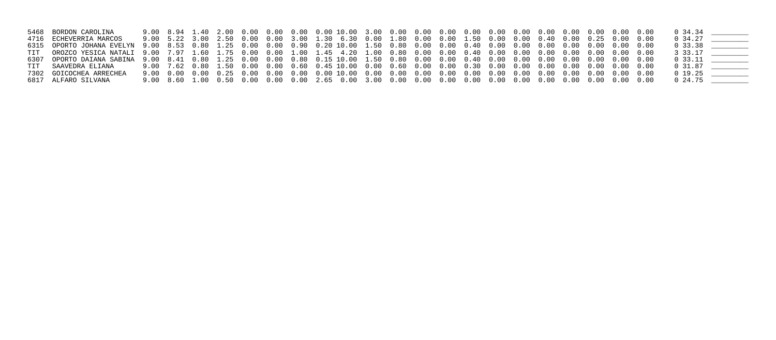| 5468 BORDON CAROLINA    |  |  |  |                                                                                                          |  |  |  |  |  |  | 0 34.34    |  |
|-------------------------|--|--|--|----------------------------------------------------------------------------------------------------------|--|--|--|--|--|--|------------|--|
| 4716 ECHEVERRIA MARCOS  |  |  |  | 9.00 5.22 3.00 2.50 0.00 0.00 3.00 1.30 6.30 0.00 1.80 0.00 0.00 1.50 0.00 0.00 0.40 0.00 0.25 0.00 0.00 |  |  |  |  |  |  | 0 34.27    |  |
|                         |  |  |  |                                                                                                          |  |  |  |  |  |  | $0\,33.38$ |  |
|                         |  |  |  |                                                                                                          |  |  |  |  |  |  | 3 33.17    |  |
|                         |  |  |  |                                                                                                          |  |  |  |  |  |  | 0 33.11    |  |
| TIT SAAVEDRA ELIANA     |  |  |  |                                                                                                          |  |  |  |  |  |  | 0 31.87    |  |
| 7302 GOICOCHEA ARRECHEA |  |  |  |                                                                                                          |  |  |  |  |  |  | 0 19.25    |  |
| 6817 ALFARO SILVANA     |  |  |  |                                                                                                          |  |  |  |  |  |  | 0 24.75    |  |